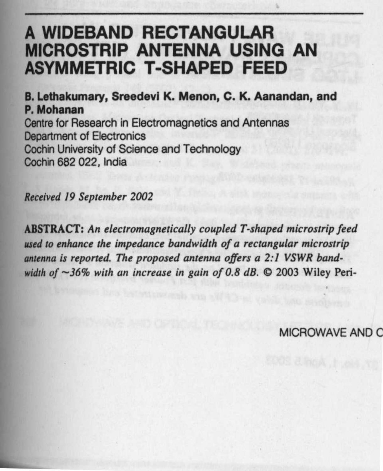# **A WIDEBAND RECTANGULAR MICROSTRIP ANTENNA USING AN ASYMMETRIC T-SHAPED FEED**

**B. Lethakumary** , **Sreedevi K. Menon**, **C. K. Aanandan, and P. Mohanan** Centre for Research in Electromagnetics and Antennas Department of Electronics Cochin University of Science and Technology Cochin 682 022, India

Received 19 September 2002

**ABSTRACT**: **An** *electromagnetically coupled T-shaped microstrip feed* **used** *to* **enhance** *the impedance bandwidth of a rectangular microstrip* **antenna is** *reported. The proposed* **antenna** *offers a 2:1* VSWR *bandwidth of -36% with an increase* **in gain** *of 0.8 dB.* ® 2003 Wiley Peri-

MICROWAVE AND C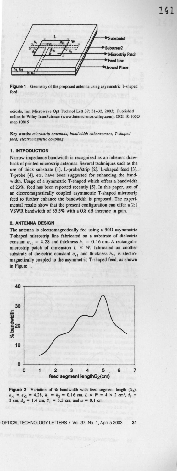



odicals, Inc. Microwave Opt Technol Lett 37: 31-32, 2003; Published **online** in Wiley **InterScience (www.interscience** .wiley.com). DOI 10.1002/ mop. 10815

Key words: microstrip antennas; bandwidth enhancement; T-shaped feed; electromagnetic coupling

# **1. INTRODUCTION**

Narrow impedance bandwidth is recognized as an inherent drawback of printed microstrip antennas. Several techniques such as the use of thick substrate [1], L-probe/strip [2], L-shaped feed [3], T-probe [4], etc. have been **suggested** for enhancing the bandwidth. Usage of a symmetric T-shaped which offers a bandwidth of 23%, feed has been reported recently [5]. In this paper, use of an electromagnetically coupled asymmetric T-shaped microstrip feed to further enhance the bandwidth is proposed. The experi**mental results** show that the present configuration can offer a 2:1 VSWR bandwidth of 35.5% with a 0.8 dB increase in gain.

# **2. ANTENNA DESIGN**

The antenna is electromagnetically fed using a  $50\Omega$  asymmetric T-shaped microstrip line fabricated on a substrate of dielectric constant  $\varepsilon_{r1} = 4.28$  and thickness  $h_1 = 0.16$  cm. A rectangular microstrip patch of dimension  $L \times W$ , fabricated on another substrate of dielectric constant  $\varepsilon_{r2}$  and thickness  $h_2$ , is electromagnetically coupled to the asymmetric T-shaped feed, as shown in Figure I.



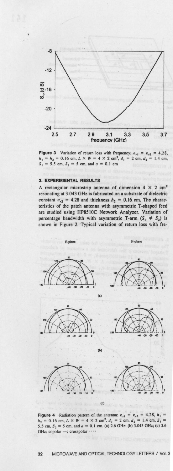

**Figure 3** Variation of return loss with frequency:  $\varepsilon_{r1} = \varepsilon_{r2} = 4.28$ ,  $h_1 = h_2 = 0.16$  cm,  $L \times W = 4 \times 2$  cm<sup>2</sup>,  $d_1 = 2$  cm,  $d_2 = 1.4$  cm,  $S_1 = 5.5$  cm,  $S_2 = 5$  cm, and  $a = 0.1$  cm

## **3. EXPERIMENTAL RESULTS**

A rectangular microstrip **antenna of** dimension 4 X 2 cm2 resonating at 3.043 GHz is fabricated **on a substrate** of dielectric constant  $\varepsilon_{r2}$  = 4.28 and thickness  $h_2$  = 0.16 cm. The characteristics of the patch **antenna with asymmetric** T-shaped feed are studied using HP8510C Network Analyzer. Variation of percentage bandwidth with asymmetric T-arm  $(S_1 \neq S_2)$  is shown in Figure 2. Typical variation of return loss with fre-

















**(C)**